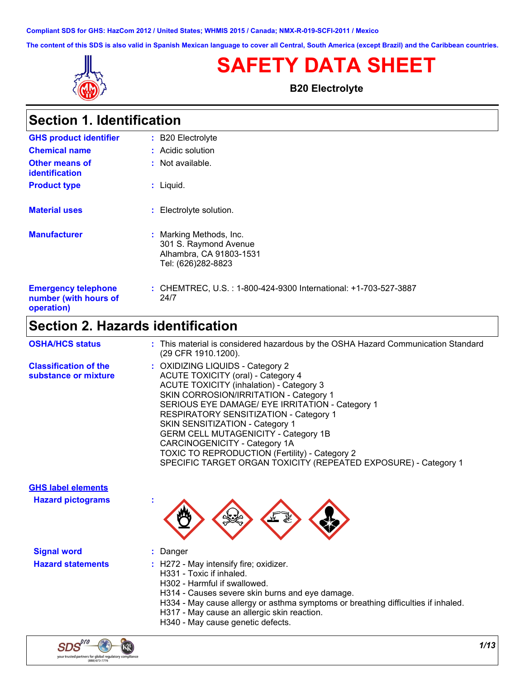**Compliant SDS for GHS: HazCom 2012 / United States; WHMIS 2015 / Canada; NMX-R-019-SCFI-2011 / Mexico**

**The content of this SDS is also valid in Spanish Mexican language to cover all Central, South America (except Brazil) and the Caribbean countries.**



# **SAFETY DATA SHEET**

**B20 Electrolyte**

| <b>Section 1. Identification</b>                                  |                                                                                                   |
|-------------------------------------------------------------------|---------------------------------------------------------------------------------------------------|
| <b>GHS product identifier</b>                                     | : B20 Electrolyte                                                                                 |
| <b>Chemical name</b>                                              | : Acidic solution                                                                                 |
| <b>Other means of</b><br><i>identification</i>                    | : Not available.                                                                                  |
| <b>Product type</b>                                               | $:$ Liquid.                                                                                       |
| <b>Material uses</b>                                              | : Electrolyte solution.                                                                           |
| <b>Manufacturer</b>                                               | : Marking Methods, Inc.<br>301 S. Raymond Avenue<br>Alhambra, CA 91803-1531<br>Tel: (626)282-8823 |
| <b>Emergency telephone</b><br>number (with hours of<br>operation) | : CHEMTREC, U.S. : 1-800-424-9300 International: +1-703-527-3887<br>24/7                          |

## **Section 2. Hazards identification**

| <b>OSHA/HCS status</b>                               | : This material is considered hazardous by the OSHA Hazard Communication Standard<br>(29 CFR 1910.1200).                                                                                                                                                                                                                                                                                                                                                                                                        |
|------------------------------------------------------|-----------------------------------------------------------------------------------------------------------------------------------------------------------------------------------------------------------------------------------------------------------------------------------------------------------------------------------------------------------------------------------------------------------------------------------------------------------------------------------------------------------------|
| <b>Classification of the</b><br>substance or mixture | : OXIDIZING LIQUIDS - Category 2<br>ACUTE TOXICITY (oral) - Category 4<br><b>ACUTE TOXICITY (inhalation) - Category 3</b><br>SKIN CORROSION/IRRITATION - Category 1<br>SERIOUS EYE DAMAGE/ EYE IRRITATION - Category 1<br><b>RESPIRATORY SENSITIZATION - Category 1</b><br>SKIN SENSITIZATION - Category 1<br><b>GERM CELL MUTAGENICITY - Category 1B</b><br>CARCINOGENICITY - Category 1A<br>TOXIC TO REPRODUCTION (Fertility) - Category 2<br>SPECIFIC TARGET ORGAN TOXICITY (REPEATED EXPOSURE) - Category 1 |
| <b>GHS label elements</b>                            |                                                                                                                                                                                                                                                                                                                                                                                                                                                                                                                 |
| <b>Hazard pictograms</b>                             | $\frac{1}{2}$                                                                                                                                                                                                                                                                                                                                                                                                                                                                                                   |
| <b>Signal word</b>                                   | Danger                                                                                                                                                                                                                                                                                                                                                                                                                                                                                                          |
| <b>Hazard statements</b>                             | : H272 - May intensify fire; oxidizer.<br>H331 - Toxic if inhaled.<br>H302 - Harmful if swallowed.<br>H314 - Causes severe skin burns and eye damage.<br>H334 - May cause allergy or asthma symptoms or breathing difficulties if inhaled                                                                                                                                                                                                                                                                       |

- $y$  cause allergy or asthma symptoms or breathing difficulties if inhaled.
- H317 May cause an allergic skin reaction.
- H340 May cause genetic defects.

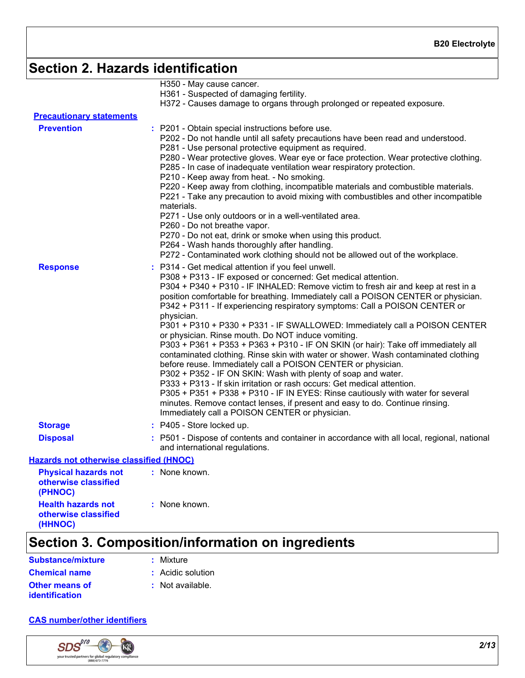# **Section 2. Hazards identification**

|                                                                | H350 - May cause cancer.                                                                                                                                                                                                                                                                                                                                                                                                                                                                                                                                                                                                                                                                                                                                                                                                                                                                                                                                                                                                                                                                                                                  |
|----------------------------------------------------------------|-------------------------------------------------------------------------------------------------------------------------------------------------------------------------------------------------------------------------------------------------------------------------------------------------------------------------------------------------------------------------------------------------------------------------------------------------------------------------------------------------------------------------------------------------------------------------------------------------------------------------------------------------------------------------------------------------------------------------------------------------------------------------------------------------------------------------------------------------------------------------------------------------------------------------------------------------------------------------------------------------------------------------------------------------------------------------------------------------------------------------------------------|
|                                                                | H361 - Suspected of damaging fertility.                                                                                                                                                                                                                                                                                                                                                                                                                                                                                                                                                                                                                                                                                                                                                                                                                                                                                                                                                                                                                                                                                                   |
|                                                                | H372 - Causes damage to organs through prolonged or repeated exposure.                                                                                                                                                                                                                                                                                                                                                                                                                                                                                                                                                                                                                                                                                                                                                                                                                                                                                                                                                                                                                                                                    |
| <b>Precautionary statements</b>                                |                                                                                                                                                                                                                                                                                                                                                                                                                                                                                                                                                                                                                                                                                                                                                                                                                                                                                                                                                                                                                                                                                                                                           |
| <b>Prevention</b>                                              | : P201 - Obtain special instructions before use.<br>P202 - Do not handle until all safety precautions have been read and understood.<br>P281 - Use personal protective equipment as required.<br>P280 - Wear protective gloves. Wear eye or face protection. Wear protective clothing.<br>P285 - In case of inadequate ventilation wear respiratory protection.                                                                                                                                                                                                                                                                                                                                                                                                                                                                                                                                                                                                                                                                                                                                                                           |
|                                                                | P210 - Keep away from heat. - No smoking.<br>P220 - Keep away from clothing, incompatible materials and combustible materials.<br>P221 - Take any precaution to avoid mixing with combustibles and other incompatible<br>materials.                                                                                                                                                                                                                                                                                                                                                                                                                                                                                                                                                                                                                                                                                                                                                                                                                                                                                                       |
|                                                                | P271 - Use only outdoors or in a well-ventilated area.<br>P260 - Do not breathe vapor.                                                                                                                                                                                                                                                                                                                                                                                                                                                                                                                                                                                                                                                                                                                                                                                                                                                                                                                                                                                                                                                    |
|                                                                | P270 - Do not eat, drink or smoke when using this product.                                                                                                                                                                                                                                                                                                                                                                                                                                                                                                                                                                                                                                                                                                                                                                                                                                                                                                                                                                                                                                                                                |
|                                                                | P264 - Wash hands thoroughly after handling.<br>P272 - Contaminated work clothing should not be allowed out of the workplace.                                                                                                                                                                                                                                                                                                                                                                                                                                                                                                                                                                                                                                                                                                                                                                                                                                                                                                                                                                                                             |
| <b>Response</b>                                                | P314 - Get medical attention if you feel unwell.<br>P308 + P313 - IF exposed or concerned: Get medical attention.<br>P304 + P340 + P310 - IF INHALED: Remove victim to fresh air and keep at rest in a<br>position comfortable for breathing. Immediately call a POISON CENTER or physician.<br>P342 + P311 - If experiencing respiratory symptoms: Call a POISON CENTER or<br>physician.<br>P301 + P310 + P330 + P331 - IF SWALLOWED: Immediately call a POISON CENTER<br>or physician. Rinse mouth. Do NOT induce vomiting.<br>P303 + P361 + P353 + P363 + P310 - IF ON SKIN (or hair): Take off immediately all<br>contaminated clothing. Rinse skin with water or shower. Wash contaminated clothing<br>before reuse. Immediately call a POISON CENTER or physician.<br>P302 + P352 - IF ON SKIN: Wash with plenty of soap and water.<br>P333 + P313 - If skin irritation or rash occurs: Get medical attention.<br>P305 + P351 + P338 + P310 - IF IN EYES: Rinse cautiously with water for several<br>minutes. Remove contact lenses, if present and easy to do. Continue rinsing.<br>Immediately call a POISON CENTER or physician. |
| <b>Storage</b>                                                 | $:$ P405 - Store locked up.                                                                                                                                                                                                                                                                                                                                                                                                                                                                                                                                                                                                                                                                                                                                                                                                                                                                                                                                                                                                                                                                                                               |
| <b>Disposal</b>                                                | : P501 - Dispose of contents and container in accordance with all local, regional, national<br>and international regulations.                                                                                                                                                                                                                                                                                                                                                                                                                                                                                                                                                                                                                                                                                                                                                                                                                                                                                                                                                                                                             |
| <b>Hazards not otherwise classified (HNOC)</b>                 |                                                                                                                                                                                                                                                                                                                                                                                                                                                                                                                                                                                                                                                                                                                                                                                                                                                                                                                                                                                                                                                                                                                                           |
| <b>Physical hazards not</b><br>otherwise classified<br>(PHNOC) | : None known.                                                                                                                                                                                                                                                                                                                                                                                                                                                                                                                                                                                                                                                                                                                                                                                                                                                                                                                                                                                                                                                                                                                             |
| <b>Health hazards not</b><br>otherwise classified              | : None known.                                                                                                                                                                                                                                                                                                                                                                                                                                                                                                                                                                                                                                                                                                                                                                                                                                                                                                                                                                                                                                                                                                                             |

# **Section 3. Composition/information on ingredients**

**Chemical name :** Acidic solution **Substance/mixture**

### **:** Mixture

**Other means of identification**

**(HHNOC)**

- 
- **:** Not available.

#### **CAS number/other identifiers**

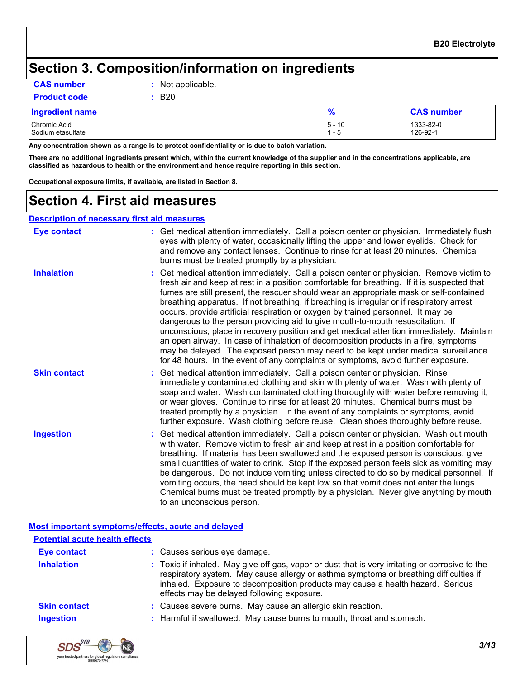### **Section 3. Composition/information on ingredients**

**CAS number :** Not applicable.

**Product code :** B20

| <b>Ingredient name</b>            | $\Omega$           | <b>CAS number</b>     |
|-----------------------------------|--------------------|-----------------------|
| Chromic Acid<br>Sodium etasulfate | 10<br>$5 -$<br>- ೭ | 1333-82-0<br>126-92-1 |

**Any concentration shown as a range is to protect confidentiality or is due to batch variation.**

**There are no additional ingredients present which, within the current knowledge of the supplier and in the concentrations applicable, are classified as hazardous to health or the environment and hence require reporting in this section.**

**Occupational exposure limits, if available, are listed in Section 8.**

### **Section 4. First aid measures**

#### **Description of necessary first aid measures**

| <b>Eye contact</b>  | : Get medical attention immediately. Call a poison center or physician. Immediately flush<br>eyes with plenty of water, occasionally lifting the upper and lower eyelids. Check for<br>and remove any contact lenses. Continue to rinse for at least 20 minutes. Chemical<br>burns must be treated promptly by a physician.                                                                                                                                                                                                                                                                                                                                                                                                                                                                                                                                                                                      |
|---------------------|------------------------------------------------------------------------------------------------------------------------------------------------------------------------------------------------------------------------------------------------------------------------------------------------------------------------------------------------------------------------------------------------------------------------------------------------------------------------------------------------------------------------------------------------------------------------------------------------------------------------------------------------------------------------------------------------------------------------------------------------------------------------------------------------------------------------------------------------------------------------------------------------------------------|
| <b>Inhalation</b>   | : Get medical attention immediately. Call a poison center or physician. Remove victim to<br>fresh air and keep at rest in a position comfortable for breathing. If it is suspected that<br>fumes are still present, the rescuer should wear an appropriate mask or self-contained<br>breathing apparatus. If not breathing, if breathing is irregular or if respiratory arrest<br>occurs, provide artificial respiration or oxygen by trained personnel. It may be<br>dangerous to the person providing aid to give mouth-to-mouth resuscitation. If<br>unconscious, place in recovery position and get medical attention immediately. Maintain<br>an open airway. In case of inhalation of decomposition products in a fire, symptoms<br>may be delayed. The exposed person may need to be kept under medical surveillance<br>for 48 hours. In the event of any complaints or symptoms, avoid further exposure. |
| <b>Skin contact</b> | : Get medical attention immediately. Call a poison center or physician. Rinse<br>immediately contaminated clothing and skin with plenty of water. Wash with plenty of<br>soap and water. Wash contaminated clothing thoroughly with water before removing it,<br>or wear gloves. Continue to rinse for at least 20 minutes. Chemical burns must be<br>treated promptly by a physician. In the event of any complaints or symptoms, avoid<br>further exposure. Wash clothing before reuse. Clean shoes thoroughly before reuse.                                                                                                                                                                                                                                                                                                                                                                                   |
| <b>Ingestion</b>    | : Get medical attention immediately. Call a poison center or physician. Wash out mouth<br>with water. Remove victim to fresh air and keep at rest in a position comfortable for<br>breathing. If material has been swallowed and the exposed person is conscious, give<br>small quantities of water to drink. Stop if the exposed person feels sick as vomiting may<br>be dangerous. Do not induce vomiting unless directed to do so by medical personnel. If<br>vomiting occurs, the head should be kept low so that vomit does not enter the lungs.<br>Chemical burns must be treated promptly by a physician. Never give anything by mouth<br>to an unconscious person.                                                                                                                                                                                                                                       |

|                                       | <b>Most important symptoms/effects, acute and delayed</b>                                                                                                                                                                                                                                                                |
|---------------------------------------|--------------------------------------------------------------------------------------------------------------------------------------------------------------------------------------------------------------------------------------------------------------------------------------------------------------------------|
| <b>Potential acute health effects</b> |                                                                                                                                                                                                                                                                                                                          |
| <b>Eye contact</b>                    | : Causes serious eye damage.                                                                                                                                                                                                                                                                                             |
| <b>Inhalation</b>                     | : Toxic if inhaled. May give off gas, vapor or dust that is very irritating or corrosive to the<br>respiratory system. May cause allergy or asthma symptoms or breathing difficulties if<br>inhaled. Exposure to decomposition products may cause a health hazard. Serious<br>effects may be delayed following exposure. |
| <b>Skin contact</b>                   | : Causes severe burns. May cause an allergic skin reaction.                                                                                                                                                                                                                                                              |
| <b>Ingestion</b>                      | : Harmful if swallowed. May cause burns to mouth, throat and stomach.                                                                                                                                                                                                                                                    |

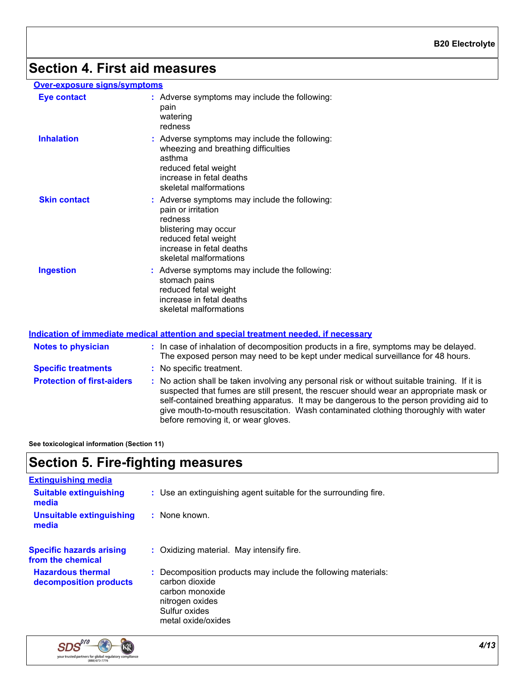# **Section 4. First aid measures**

#### **Over-exposure signs/symptoms**

| <b>Eye contact</b>  | : Adverse symptoms may include the following:<br>pain<br>watering<br>redness                                                                                                         |
|---------------------|--------------------------------------------------------------------------------------------------------------------------------------------------------------------------------------|
| <b>Inhalation</b>   | : Adverse symptoms may include the following:<br>wheezing and breathing difficulties<br>asthma<br>reduced fetal weight<br>increase in fetal deaths<br>skeletal malformations         |
| <b>Skin contact</b> | : Adverse symptoms may include the following:<br>pain or irritation<br>redness<br>blistering may occur<br>reduced fetal weight<br>increase in fetal deaths<br>skeletal malformations |
| <b>Ingestion</b>    | : Adverse symptoms may include the following:<br>stomach pains<br>reduced fetal weight<br>increase in fetal deaths<br>skeletal malformations                                         |

#### **Indication of immediate medical attention and special treatment needed, if necessary**

| <b>Notes to physician</b>         | : In case of inhalation of decomposition products in a fire, symptoms may be delayed.<br>The exposed person may need to be kept under medical surveillance for 48 hours.                                                                                                                                                                                                                                      |
|-----------------------------------|---------------------------------------------------------------------------------------------------------------------------------------------------------------------------------------------------------------------------------------------------------------------------------------------------------------------------------------------------------------------------------------------------------------|
| <b>Specific treatments</b>        | : No specific treatment.                                                                                                                                                                                                                                                                                                                                                                                      |
| <b>Protection of first-aiders</b> | No action shall be taken involving any personal risk or without suitable training. If it is<br>suspected that fumes are still present, the rescuer should wear an appropriate mask or<br>self-contained breathing apparatus. It may be dangerous to the person providing aid to<br>give mouth-to-mouth resuscitation. Wash contaminated clothing thoroughly with water<br>before removing it, or wear gloves. |

**See toxicological information (Section 11)**

## **Section 5. Fire-fighting measures**

| <b>Extinguishing media</b>                           |                                                                                                                                                              |
|------------------------------------------------------|--------------------------------------------------------------------------------------------------------------------------------------------------------------|
| <b>Suitable extinguishing</b><br>media               | : Use an extinguishing agent suitable for the surrounding fire.                                                                                              |
| <b>Unsuitable extinguishing</b><br>media             | $:$ None known.                                                                                                                                              |
| <b>Specific hazards arising</b><br>from the chemical | : Oxidizing material. May intensify fire.                                                                                                                    |
| <b>Hazardous thermal</b><br>decomposition products   | : Decomposition products may include the following materials:<br>carbon dioxide<br>carbon monoxide<br>nitrogen oxides<br>Sulfur oxides<br>metal oxide/oxides |

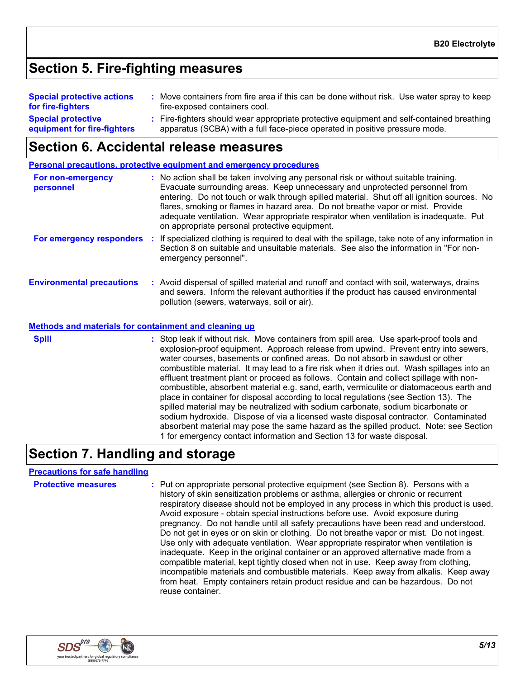## **Section 5. Fire-fighting measures**

| <b>Special protective actions</b><br>for fire-fighters   | Move containers from fire area if this can be done without risk. Use water spray to keep<br>fire-exposed containers cool.                                                |
|----------------------------------------------------------|--------------------------------------------------------------------------------------------------------------------------------------------------------------------------|
| <b>Special protective</b><br>equipment for fire-fighters | : Fire-fighters should wear appropriate protective equipment and self-contained breathing<br>apparatus (SCBA) with a full face-piece operated in positive pressure mode. |

### **Section 6. Accidental release measures**

|                                                              | <b>Personal precautions, protective equipment and emergency procedures</b>                                                                                                                                                                                                                                                                                                                                                                                                                     |
|--------------------------------------------------------------|------------------------------------------------------------------------------------------------------------------------------------------------------------------------------------------------------------------------------------------------------------------------------------------------------------------------------------------------------------------------------------------------------------------------------------------------------------------------------------------------|
| For non-emergency<br>personnel                               | : No action shall be taken involving any personal risk or without suitable training.<br>Evacuate surrounding areas. Keep unnecessary and unprotected personnel from<br>entering. Do not touch or walk through spilled material. Shut off all ignition sources. No<br>flares, smoking or flames in hazard area. Do not breathe vapor or mist. Provide<br>adequate ventilation. Wear appropriate respirator when ventilation is inadequate. Put<br>on appropriate personal protective equipment. |
| For emergency responders :                                   | If specialized clothing is required to deal with the spillage, take note of any information in<br>Section 8 on suitable and unsuitable materials. See also the information in "For non-<br>emergency personnel".                                                                                                                                                                                                                                                                               |
| <b>Environmental precautions</b>                             | : Avoid dispersal of spilled material and runoff and contact with soil, waterways, drains<br>and sewers. Inform the relevant authorities if the product has caused environmental<br>pollution (sewers, waterways, soil or air).                                                                                                                                                                                                                                                                |
| <b>Methods and materials for containment and cleaning up</b> |                                                                                                                                                                                                                                                                                                                                                                                                                                                                                                |
| Snill                                                        | . Stop leak if without risk Move containers from spill area. Hse spark-proof tools and                                                                                                                                                                                                                                                                                                                                                                                                         |

k if without risk. Move containers from spill area. Use spark-pr explosion-proof equipment. Approach release from upwind. Prevent entry into sewers, water courses, basements or confined areas. Do not absorb in sawdust or other combustible material. It may lead to a fire risk when it dries out. Wash spillages into an effluent treatment plant or proceed as follows. Contain and collect spillage with noncombustible, absorbent material e.g. sand, earth, vermiculite or diatomaceous earth and place in container for disposal according to local regulations (see Section 13). The spilled material may be neutralized with sodium carbonate, sodium bicarbonate or sodium hydroxide. Dispose of via a licensed waste disposal contractor. Contaminated absorbent material may pose the same hazard as the spilled product. Note: see Section 1 for emergency contact information and Section 13 for waste disposal. **Spill Spill :** Stop leak

### **Section 7. Handling and storage**

#### **Precautions for safe handling**

**Protective measures** : Put on appropriate personal protective equipment (see Section 8). Persons with a **Protestion** history of skin sensitization problems or asthma, allergies or chronic or recurrent respiratory disease should not be employed in any process in which this product is used. Avoid exposure - obtain special instructions before use. Avoid exposure during pregnancy. Do not handle until all safety precautions have been read and understood. Do not get in eyes or on skin or clothing. Do not breathe vapor or mist. Do not ingest. Use only with adequate ventilation. Wear appropriate respirator when ventilation is inadequate. Keep in the original container or an approved alternative made from a compatible material, kept tightly closed when not in use. Keep away from clothing, incompatible materials and combustible materials. Keep away from alkalis. Keep away from heat. Empty containers retain product residue and can be hazardous. Do not reuse container.

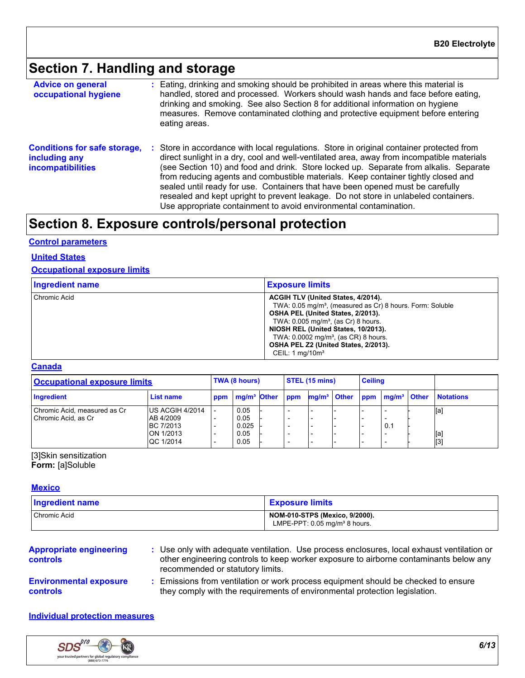# **Section 7. Handling and storage**

| <b>Advice on general</b><br>occupational hygiene                                 | : Eating, drinking and smoking should be prohibited in areas where this material is<br>handled, stored and processed. Workers should wash hands and face before eating,<br>drinking and smoking. See also Section 8 for additional information on hygiene<br>measures. Remove contaminated clothing and protective equipment before entering<br>eating areas.                                                                                                                                                                                                                                                     |
|----------------------------------------------------------------------------------|-------------------------------------------------------------------------------------------------------------------------------------------------------------------------------------------------------------------------------------------------------------------------------------------------------------------------------------------------------------------------------------------------------------------------------------------------------------------------------------------------------------------------------------------------------------------------------------------------------------------|
| <b>Conditions for safe storage,</b><br>including any<br><b>incompatibilities</b> | : Store in accordance with local regulations. Store in original container protected from<br>direct sunlight in a dry, cool and well-ventilated area, away from incompatible materials<br>(see Section 10) and food and drink. Store locked up. Separate from alkalis. Separate<br>from reducing agents and combustible materials. Keep container tightly closed and<br>sealed until ready for use. Containers that have been opened must be carefully<br>resealed and kept upright to prevent leakage. Do not store in unlabeled containers.<br>Use appropriate containment to avoid environmental contamination. |

# **Section 8. Exposure controls/personal protection**

#### **Control parameters**

#### **United States**

#### **Occupational exposure limits**

| <b>Ingredient name</b> | <b>Exposure limits</b>                                                                                                                                                                                                                                                                                                                                        |
|------------------------|---------------------------------------------------------------------------------------------------------------------------------------------------------------------------------------------------------------------------------------------------------------------------------------------------------------------------------------------------------------|
| Chromic Acid           | ACGIH TLV (United States, 4/2014).<br>TWA: 0.05 mg/m <sup>3</sup> , (measured as Cr) 8 hours. Form: Soluble<br>OSHA PEL (United States, 2/2013).<br>TWA: $0.005$ mg/m <sup>3</sup> , (as Cr) 8 hours.<br>NIOSH REL (United States, 10/2013).<br>TWA: 0.0002 mg/m <sup>3</sup> , (as CR) 8 hours.<br>OSHA PEL Z2 (United States, 2/2013).<br>CEIL: 1 $mq/10m3$ |

#### **Canada**

| <b>Occupational exposure limits</b>                 |                                                                     | TWA (8 hours) |                                       | STEL (15 mins) |     |  | <b>Ceiling</b>                                      |  |     |  |                   |
|-----------------------------------------------------|---------------------------------------------------------------------|---------------|---------------------------------------|----------------|-----|--|-----------------------------------------------------|--|-----|--|-------------------|
| Ingredient                                          | List name                                                           | ppm           | mg/m <sup>3</sup> Other               |                | ppm |  | mg/m <sup>3</sup> Other ppm mg/m <sup>3</sup> Other |  |     |  | <b>Notations</b>  |
| Chromic Acid, measured as Cr<br>Chromic Acid, as Cr | US ACGIH 4/2014<br>AB 4/2009<br>BC 7/2013<br>ON 1/2013<br>QC 1/2014 |               | 0.05<br>0.05<br>0.025<br>0.05<br>0.05 |                |     |  |                                                     |  | 0.1 |  | [a]<br>[a]<br>[3] |

#### [3]Skin sensitization **Form:** [a]Soluble

### **Mexico**

| <b>Ingredient name</b> | <b>Exposure limits</b>                                                     |
|------------------------|----------------------------------------------------------------------------|
| Chromic Acid           | NOM-010-STPS (Mexico, 9/2000).<br>LMPE-PPT: $0.05 \text{ mg/m}^3$ 8 hours. |

| <b>Appropriate engineering</b><br><b>controls</b> | Use only with adequate ventilation. Use process enclosures, local exhaust ventilation or<br>other engineering controls to keep worker exposure to airborne contaminants below any<br>recommended or statutory limits. |
|---------------------------------------------------|-----------------------------------------------------------------------------------------------------------------------------------------------------------------------------------------------------------------------|
| <b>Environmental exposure</b>                     | Emissions from ventilation or work process equipment should be checked to ensure                                                                                                                                      |
| <b>controls</b>                                   | they comply with the requirements of environmental protection legislation.                                                                                                                                            |

#### **Individual protection measures**

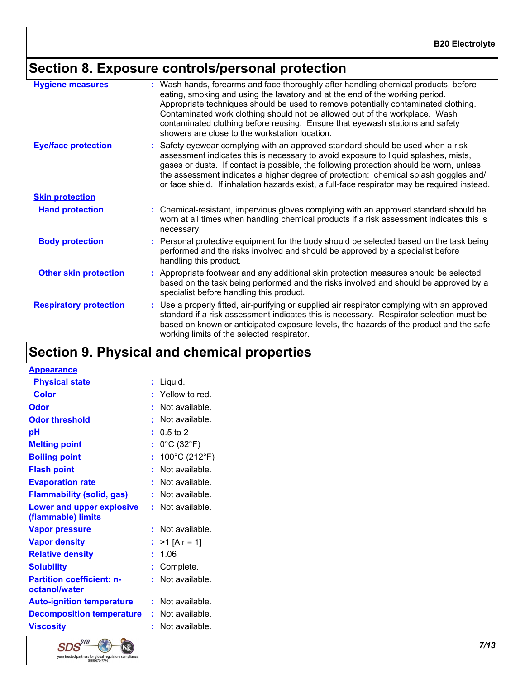# **Section 8. Exposure controls/personal protection**

| <b>Hygiene measures</b>       | : Wash hands, forearms and face thoroughly after handling chemical products, before<br>eating, smoking and using the lavatory and at the end of the working period.<br>Appropriate techniques should be used to remove potentially contaminated clothing.<br>Contaminated work clothing should not be allowed out of the workplace. Wash<br>contaminated clothing before reusing. Ensure that eyewash stations and safety<br>showers are close to the workstation location. |
|-------------------------------|-----------------------------------------------------------------------------------------------------------------------------------------------------------------------------------------------------------------------------------------------------------------------------------------------------------------------------------------------------------------------------------------------------------------------------------------------------------------------------|
| <b>Eye/face protection</b>    | : Safety eyewear complying with an approved standard should be used when a risk<br>assessment indicates this is necessary to avoid exposure to liquid splashes, mists,<br>gases or dusts. If contact is possible, the following protection should be worn, unless<br>the assessment indicates a higher degree of protection: chemical splash goggles and/<br>or face shield. If inhalation hazards exist, a full-face respirator may be required instead.                   |
| <b>Skin protection</b>        |                                                                                                                                                                                                                                                                                                                                                                                                                                                                             |
| <b>Hand protection</b>        | : Chemical-resistant, impervious gloves complying with an approved standard should be<br>worn at all times when handling chemical products if a risk assessment indicates this is<br>necessary.                                                                                                                                                                                                                                                                             |
| <b>Body protection</b>        | : Personal protective equipment for the body should be selected based on the task being<br>performed and the risks involved and should be approved by a specialist before<br>handling this product.                                                                                                                                                                                                                                                                         |
| <b>Other skin protection</b>  | : Appropriate footwear and any additional skin protection measures should be selected<br>based on the task being performed and the risks involved and should be approved by a<br>specialist before handling this product.                                                                                                                                                                                                                                                   |
| <b>Respiratory protection</b> | : Use a properly fitted, air-purifying or supplied air respirator complying with an approved<br>standard if a risk assessment indicates this is necessary. Respirator selection must be<br>based on known or anticipated exposure levels, the hazards of the product and the safe<br>working limits of the selected respirator.                                                                                                                                             |

# **Section 9. Physical and chemical properties**

| <b>Appearance</b>                                 |    |                                 |
|---------------------------------------------------|----|---------------------------------|
| <b>Physical state</b>                             | t. | Liquid.                         |
| <b>Color</b>                                      |    | : Yellow to red.                |
| Odor                                              |    | Not available.                  |
| <b>Odor threshold</b>                             | ٠  | Not available.                  |
| рH                                                |    | $0.5 \text{ to } 2$             |
| <b>Melting point</b>                              | ř. | $0^{\circ}$ C (32 $^{\circ}$ F) |
| <b>Boiling point</b>                              | ÷. | 100°C (212°F)                   |
| <b>Flash point</b>                                |    | Not available.                  |
| <b>Evaporation rate</b>                           |    | Not available.                  |
| <b>Flammability (solid, gas)</b>                  |    | Not available.                  |
| Lower and upper explosive<br>(flammable) limits   |    | : Not available.                |
| <b>Vapor pressure</b>                             | t. | Not available.                  |
| <b>Vapor density</b>                              |    | $>1$ [Air = 1]                  |
| <b>Relative density</b>                           | t. | 1.06                            |
| <b>Solubility</b>                                 | t. | Complete.                       |
| <b>Partition coefficient: n-</b><br>octanol/water | ŧ. | Not available.                  |
| <b>Auto-ignition temperature</b>                  |    | $:$ Not available.              |
| <b>Decomposition temperature</b>                  | ÷. | Not available.                  |
| <b>Viscosity</b>                                  |    | Not available.                  |
|                                                   |    |                                 |

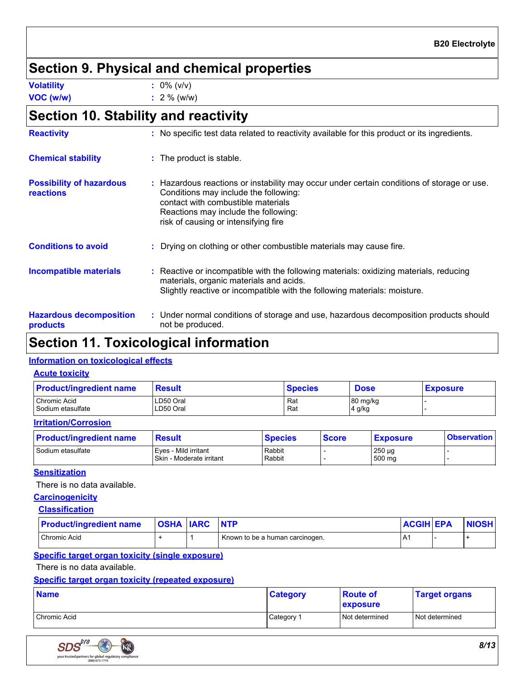### **Section 9. Physical and chemical properties**

**Volatility :** 0% (v/v)

**VOC (w/w) :** 2 % (w/w)

# **Section 10. Stability and reactivity**

| <b>Reactivity</b>                            | : No specific test data related to reactivity available for this product or its ingredients.                                                                                                                                                              |
|----------------------------------------------|-----------------------------------------------------------------------------------------------------------------------------------------------------------------------------------------------------------------------------------------------------------|
| <b>Chemical stability</b>                    | : The product is stable.                                                                                                                                                                                                                                  |
| <b>Possibility of hazardous</b><br>reactions | : Hazardous reactions or instability may occur under certain conditions of storage or use.<br>Conditions may include the following:<br>contact with combustible materials<br>Reactions may include the following:<br>risk of causing or intensifying fire |
| <b>Conditions to avoid</b>                   | : Drying on clothing or other combustible materials may cause fire.                                                                                                                                                                                       |
| <b>Incompatible materials</b>                | : Reactive or incompatible with the following materials: oxidizing materials, reducing<br>materials, organic materials and acids.<br>Slightly reactive or incompatible with the following materials: moisture.                                            |
| <b>Hazardous decomposition</b><br>products   | : Under normal conditions of storage and use, hazardous decomposition products should<br>not be produced.                                                                                                                                                 |

### **Section 11. Toxicological information**

#### **Information on toxicological effects**

| <b>Acute toxicity</b>             |                        |                |                    |                 |
|-----------------------------------|------------------------|----------------|--------------------|-----------------|
| <b>Product/ingredient name</b>    | <b>Result</b>          | <b>Species</b> | <b>Dose</b>        | <b>Exposure</b> |
| Chromic Acid<br>Sodium etasulfate | LD50 Oral<br>LD50 Oral | Rat<br>Rat     | 80 mg/kg<br>4 g/kg |                 |

#### **Irritation/Corrosion**

| <b>Product/ingredient name</b> | <b>Result</b>                                    | <b>Species</b>   | <b>Score</b> | <b>Exposure</b>       | <b>Observation</b> |
|--------------------------------|--------------------------------------------------|------------------|--------------|-----------------------|--------------------|
| Sodium etasulfate              | Eves - Mild irritant<br>Skin - Moderate irritant | Rabbit<br>Rabbit |              | $250 \mu g$<br>500 mg |                    |

#### **Sensitization**

There is no data available.

#### **Carcinogenicity**

#### **Classification**

| <b>Product/ingredient name</b> | <b>OSHA IARC</b> | <b>NTP</b>                      | <b>ACGIH EPA</b> | <b>NIOSH</b> |
|--------------------------------|------------------|---------------------------------|------------------|--------------|
| Chromic Acid                   |                  | Known to be a human carcinogen. | $\sqrt{ }$       |              |

#### **Specific target organ toxicity (single exposure)**

There is no data available.

#### **Specific target organ toxicity (repeated exposure)**

| <b>Name</b>  | <b>Category</b> | <b>Route of</b><br>exposure | <b>Target organs</b> |
|--------------|-----------------|-----------------------------|----------------------|
| Chromic Acid | Category 1      | Not determined              | Not determined       |

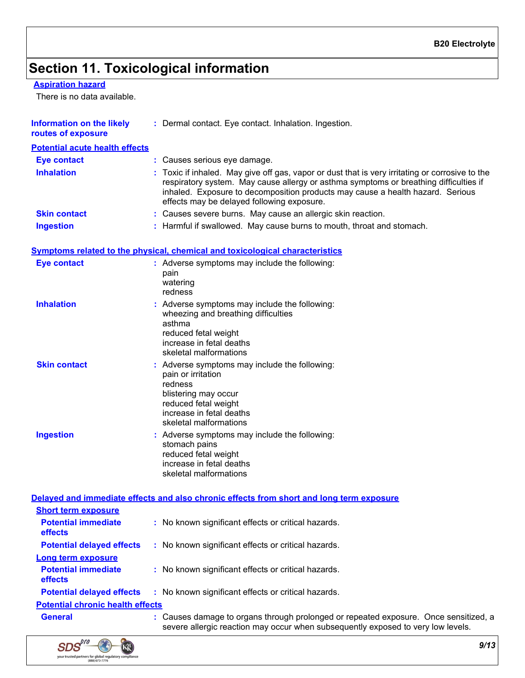# **Section 11. Toxicological information**

#### **Aspiration hazard**

There is no data available.

| <b>Information on the likely</b><br>routes of exposure | : Dermal contact. Eye contact. Inhalation. Ingestion.                                                                                                                                                                                                                                                                    |
|--------------------------------------------------------|--------------------------------------------------------------------------------------------------------------------------------------------------------------------------------------------------------------------------------------------------------------------------------------------------------------------------|
| <b>Potential acute health effects</b>                  |                                                                                                                                                                                                                                                                                                                          |
| <b>Eye contact</b>                                     | : Causes serious eye damage.                                                                                                                                                                                                                                                                                             |
| <b>Inhalation</b>                                      | : Toxic if inhaled. May give off gas, vapor or dust that is very irritating or corrosive to the<br>respiratory system. May cause allergy or asthma symptoms or breathing difficulties if<br>inhaled. Exposure to decomposition products may cause a health hazard. Serious<br>effects may be delayed following exposure. |
| <b>Skin contact</b>                                    | : Causes severe burns. May cause an allergic skin reaction.                                                                                                                                                                                                                                                              |
| <b>Ingestion</b>                                       | : Harmful if swallowed. May cause burns to mouth, throat and stomach.                                                                                                                                                                                                                                                    |
|                                                        | Symptoms related to the physical, chemical and toxicological characteristics                                                                                                                                                                                                                                             |
| <b>Eye contact</b>                                     | : Adverse symptoms may include the following:<br>pain<br>watering<br>redness                                                                                                                                                                                                                                             |
| <b>Inhalation</b>                                      | : Adverse symptoms may include the following:<br>wheezing and breathing difficulties<br>asthma<br>reduced fetal weight<br>increase in fetal deaths<br>skeletal malformations                                                                                                                                             |
| <b>Skin contact</b>                                    | : Adverse symptoms may include the following:<br>pain or irritation<br>redness<br>blistering may occur<br>reduced fetal weight<br>increase in fetal deaths<br>skeletal malformations                                                                                                                                     |
| <b>Ingestion</b>                                       | : Adverse symptoms may include the following:<br>stomach pains<br>reduced fetal weight<br>increase in fetal deaths<br>skeletal malformations                                                                                                                                                                             |

|                                              | Delayed and immediate effects and also chronic effects from short and long term exposure                                                                                 |
|----------------------------------------------|--------------------------------------------------------------------------------------------------------------------------------------------------------------------------|
| <b>Short term exposure</b>                   |                                                                                                                                                                          |
| <b>Potential immediate</b><br><b>effects</b> | : No known significant effects or critical hazards.                                                                                                                      |
| <b>Potential delayed effects</b>             | : No known significant effects or critical hazards.                                                                                                                      |
| Long term exposure                           |                                                                                                                                                                          |
| <b>Potential immediate</b><br><b>effects</b> | : No known significant effects or critical hazards.                                                                                                                      |
| <b>Potential delayed effects</b>             | : No known significant effects or critical hazards.                                                                                                                      |
| <b>Potential chronic health effects</b>      |                                                                                                                                                                          |
| <b>General</b>                               | : Causes damage to organs through prolonged or repeated exposure. Once sensitized, a<br>severe allergic reaction may occur when subsequently exposed to very low levels. |

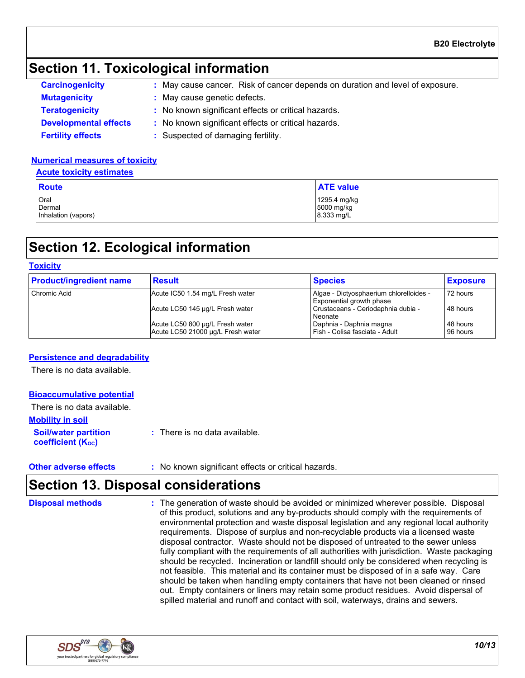### **Section 11. Toxicological information**

| <b>Carcinogenicity</b>       | : May cause cancer. Risk of cancer depends on duration and level of exposure. |
|------------------------------|-------------------------------------------------------------------------------|
| <b>Mutagenicity</b>          | : May cause genetic defects.                                                  |
| <b>Teratogenicity</b>        | : No known significant effects or critical hazards.                           |
| <b>Developmental effects</b> | : No known significant effects or critical hazards.                           |
| <b>Fertility effects</b>     | : Suspected of damaging fertility.                                            |

#### **Numerical measures of toxicity**

#### **Acute toxicity estimates**

| <b>Route</b>        | <b>ATE value</b> |
|---------------------|------------------|
| Oral                | 1295.4 mg/kg     |
| Dermal              | 5000 mg/kg       |
| Inhalation (vapors) | 8.333 mg/L       |

### **Section 12. Ecological information**

#### **Toxicity**

| <b>Product/ingredient name</b> | <b>Result</b>                                                        | <b>Species</b>                                                      | <b>Exposure</b>      |
|--------------------------------|----------------------------------------------------------------------|---------------------------------------------------------------------|----------------------|
| Chromic Acid                   | Acute IC50 1.54 mg/L Fresh water                                     | Algae - Dictyosphaerium chlorelloides -<br>Exponential growth phase | 72 hours             |
|                                | Acute LC50 145 µg/L Fresh water                                      | Crustaceans - Ceriodaphnia dubia -<br>Neonate                       | 48 hours             |
|                                | Acute LC50 800 µg/L Fresh water<br>Acute LC50 21000 ug/L Fresh water | Daphnia - Daphnia magna<br>Fish - Colisa fasciata - Adult           | 48 hours<br>96 hours |

#### **Persistence and degradability**

There is no data available.

#### **Bioaccumulative potential**

**Soil/water partition coefficient (KOC) :** There is no data available. **Mobility in soil** There is no data available.

**Other adverse effects** : No known significant effects or critical hazards.

### **Section 13. Disposal considerations**

The generation of waste should be avoided or minimized wherever possible. Disposal of this product, solutions and any by-products should comply with the requirements of environmental protection and waste disposal legislation and any regional local authority requirements. Dispose of surplus and non-recyclable products via a licensed waste disposal contractor. Waste should not be disposed of untreated to the sewer unless fully compliant with the requirements of all authorities with jurisdiction. Waste packaging should be recycled. Incineration or landfill should only be considered when recycling is not feasible. This material and its container must be disposed of in a safe way. Care should be taken when handling empty containers that have not been cleaned or rinsed out. Empty containers or liners may retain some product residues. Avoid dispersal of spilled material and runoff and contact with soil, waterways, drains and sewers. **Disposal methods :**

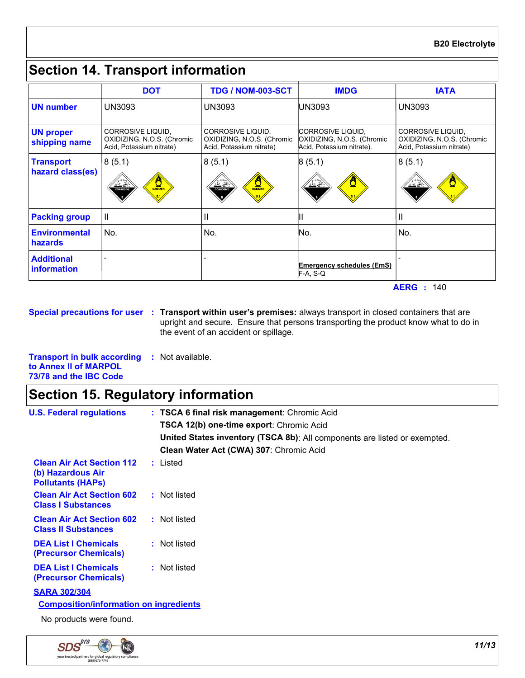### **Section 14. Transport information**

|                                      | <b>DOT</b>                                                                  | <b>TDG / NOM-003-SCT</b>                                                    | <b>IMDG</b>                                                                  | <b>IATA</b>                                                                 |
|--------------------------------------|-----------------------------------------------------------------------------|-----------------------------------------------------------------------------|------------------------------------------------------------------------------|-----------------------------------------------------------------------------|
| <b>UN</b> number                     | UN3093                                                                      | UN3093                                                                      | UN3093                                                                       | UN3093                                                                      |
| <b>UN proper</b><br>shipping name    | CORROSIVE LIQUID,<br>OXIDIZING, N.O.S. (Chromic<br>Acid, Potassium nitrate) | CORROSIVE LIQUID,<br>OXIDIZING, N.O.S. (Chromic<br>Acid, Potassium nitrate) | CORROSIVE LIQUID,<br>OXIDIZING, N.O.S. (Chromic<br>Acid, Potassium nitrate). | CORROSIVE LIQUID,<br>OXIDIZING, N.O.S. (Chromic<br>Acid, Potassium nitrate) |
| <b>Transport</b><br>hazard class(es) | 8(5.1)<br>$\frac{1}{\sqrt{N}}$<br>$rac{1}{\sqrt{1-\frac{1}{2}}}$            | 8(5.1)<br>$\frac{M}{\text{coarse}}$<br>$\frac{Q}{Q}$                        | 8(5.1)<br>پخت                                                                | 8(5.1)<br>پخ پخت                                                            |
| <b>Packing group</b>                 | Ш                                                                           | $\mathbf{H}$                                                                |                                                                              | II                                                                          |
| <b>Environmental</b><br>hazards      | No.                                                                         | No.                                                                         | No.                                                                          | No.                                                                         |
| <b>Additional</b><br>information     |                                                                             |                                                                             | <b>Emergency schedules (EmS)</b><br>$F-A, S-Q$                               |                                                                             |

**Special precautions for user Transport within user's premises:** always transport in closed containers that are **:** upright and secure. Ensure that persons transporting the product know what to do in the event of an accident or spillage.

**Transport in bulk according :** Not available. **to Annex II of MARPOL 73/78 and the IBC Code**

### **Section 15. Regulatory information**

| <b>U.S. Federal regulations</b>                                                   | : TSCA 6 final risk management: Chromic Acid                              |
|-----------------------------------------------------------------------------------|---------------------------------------------------------------------------|
|                                                                                   | TSCA 12(b) one-time export: Chromic Acid                                  |
|                                                                                   | United States inventory (TSCA 8b): All components are listed or exempted. |
|                                                                                   | Clean Water Act (CWA) 307: Chromic Acid                                   |
| <b>Clean Air Act Section 112</b><br>(b) Hazardous Air<br><b>Pollutants (HAPs)</b> | : Listed                                                                  |
| <b>Clean Air Act Section 602</b><br><b>Class I Substances</b>                     | : Not listed                                                              |
| <b>Clean Air Act Section 602</b><br><b>Class II Substances</b>                    | : Not listed                                                              |
| <b>DEA List I Chemicals</b><br>(Precursor Chemicals)                              | : Not listed                                                              |
| <b>DEA List I Chemicals</b><br>(Precursor Chemicals)                              | : Not listed                                                              |
| <b>SARA 302/304</b><br><b>Composition/information on ingredients</b>              |                                                                           |
| No products were found.                                                           |                                                                           |

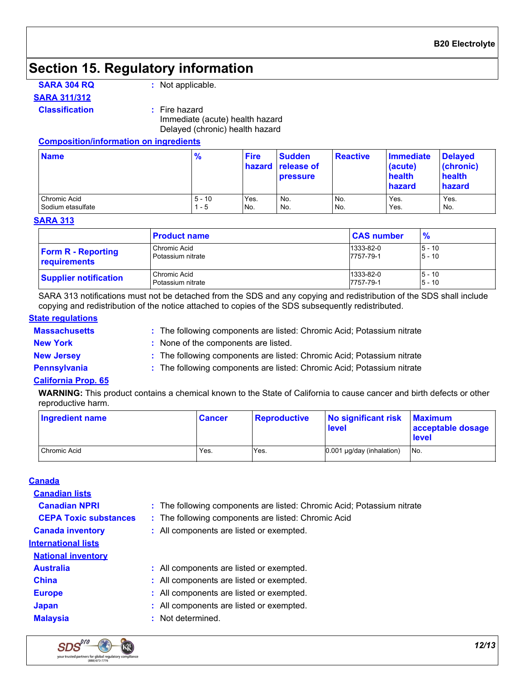### **Section 15. Regulatory information**

**SARA 304 RQ :** Not applicable.

#### **SARA 311/312**

#### **Classification :** Fire hazard

Immediate (acute) health hazard Delayed (chronic) health hazard

#### **Composition/information on ingredients**

| <b>Name</b>       | $\frac{9}{6}$ | <b>Fire</b> | Sudden<br>hazard release of<br><b>pressure</b> | <b>Reactive</b> | Immediate<br>(acute)<br>health<br>hazard | <b>Delayed</b><br>(chronic)<br>health<br>hazard |
|-------------------|---------------|-------------|------------------------------------------------|-----------------|------------------------------------------|-------------------------------------------------|
| Chromic Acid      | $5 - 10$      | Yes.        | No.                                            | No.             | Yes.                                     | Yes.                                            |
| Sodium etasulfate | - 5           | No.         | No.                                            | No.             | Yes.                                     | No.                                             |

#### **SARA 313**

|                              | <b>Product name</b> | <b>CAS number</b> | $\frac{9}{6}$ |
|------------------------------|---------------------|-------------------|---------------|
| <b>Form R - Reporting</b>    | Chromic Acid        | 1333-82-0         | $5 - 10$      |
| requirements                 | Potassium nitrate   | 7757-79-1         | $5 - 10$      |
| <b>Supplier notification</b> | Chromic Acid        | 1333-82-0         | $5 - 10$      |
|                              | Potassium nitrate   | 7757-79-1         | $5 - 10$      |

SARA 313 notifications must not be detached from the SDS and any copying and redistribution of the SDS shall include copying and redistribution of the notice attached to copies of the SDS subsequently redistributed.

#### **Massachusetts : State regulations**

- The following components are listed: Chromic Acid; Potassium nitrate
- **New York :** None of the components are listed.
- 
- **New Jersey :** The following components are listed: Chromic Acid; Potassium nitrate
- 
- **Pennsylvania 1993 :** The following components are listed: Chromic Acid; Potassium nitrate

#### **California Prop. 65**

 $SDS$ <sup>pro</sup>

your trusted partners for global regulatory compliance<br>(888) 673-7776

кĶ

**WARNING:** This product contains a chemical known to the State of California to cause cancer and birth defects or other reproductive harm.

| <b>Ingredient name</b> | <b>Cancer</b> | <b>Reproductive</b> | No significant risk<br>level | <b>Maximum</b><br>acceptable dosage<br>level |  |
|------------------------|---------------|---------------------|------------------------------|----------------------------------------------|--|
| Chromic Acid           | Yes.          | Yes.                | 0.001 µg/day (inhalation)    | INo.                                         |  |

| <b>Canada</b>                |                                                                        |
|------------------------------|------------------------------------------------------------------------|
| <b>Canadian lists</b>        |                                                                        |
| <b>Canadian NPRI</b>         | : The following components are listed: Chromic Acid; Potassium nitrate |
| <b>CEPA Toxic substances</b> | : The following components are listed: Chromic Acid                    |
| <b>Canada inventory</b>      | : All components are listed or exempted.                               |
| <b>International lists</b>   |                                                                        |
| <b>National inventory</b>    |                                                                        |
| <b>Australia</b>             | : All components are listed or exempted.                               |
| <b>China</b>                 | : All components are listed or exempted.                               |
| <b>Europe</b>                | : All components are listed or exempted.                               |
| <b>Japan</b>                 | : All components are listed or exempted.                               |
| <b>Malaysia</b>              | : Not determined.                                                      |
|                              |                                                                        |